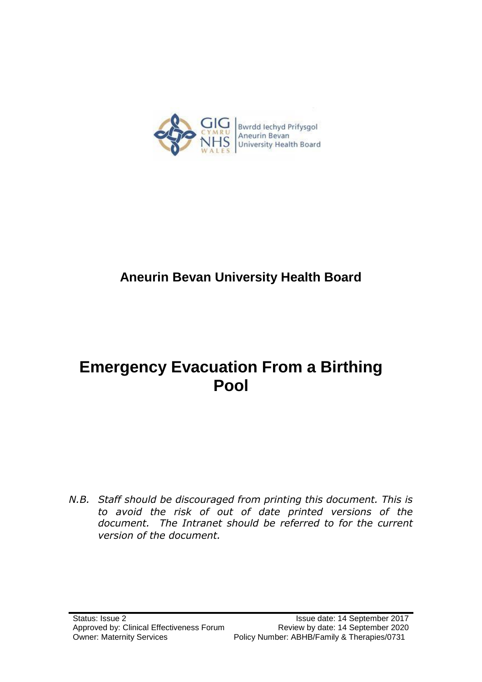

# **Aneurin Bevan University Health Board**

# **Emergency Evacuation From a Birthing Pool**

*N.B. Staff should be discouraged from printing this document. This is to avoid the risk of out of date printed versions of the document. The Intranet should be referred to for the current version of the document.*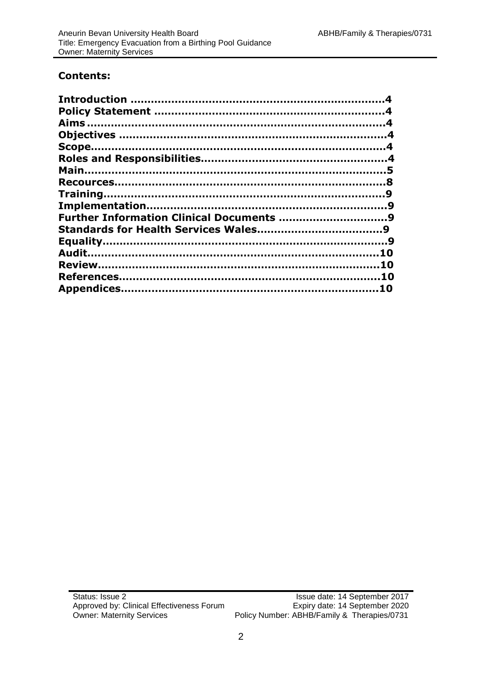# **Contents:**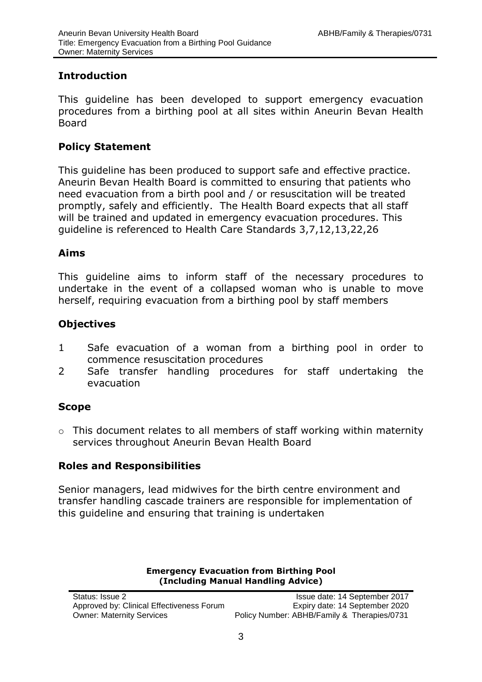# **Introduction**

This guideline has been developed to support emergency evacuation procedures from a birthing pool at all sites within Aneurin Bevan Health Board

## **Policy Statement**

This guideline has been produced to support safe and effective practice. Aneurin Bevan Health Board is committed to ensuring that patients who need evacuation from a birth pool and / or resuscitation will be treated promptly, safely and efficiently. The Health Board expects that all staff will be trained and updated in emergency evacuation procedures. This guideline is referenced to Health Care Standards 3,7,12,13,22,26

## <span id="page-2-0"></span>**Aims**

This guideline aims to inform staff of the necessary procedures to undertake in the event of a collapsed woman who is unable to move herself, requiring evacuation from a birthing pool by staff members

# **Objectives**

- 1 Safe evacuation of a woman from a birthing pool in order to commence resuscitation procedures
- 2 Safe transfer handling procedures for staff undertaking the evacuation

# **Scope**

o This document relates to all members of staff working within maternity services throughout Aneurin Bevan Health Board

# **Roles and Responsibilities**

Senior managers, lead midwives for the birth centre environment and transfer handling cascade trainers are responsible for implementation of this guideline and ensuring that training is undertaken

#### **Emergency Evacuation from Birthing Pool (Including Manual Handling Advice)**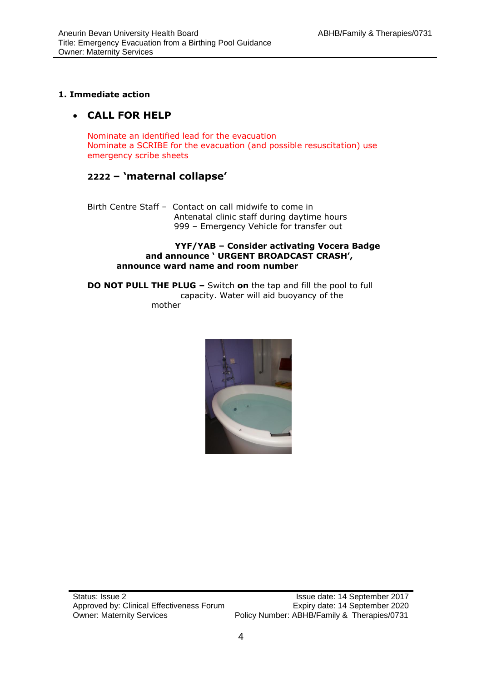#### **1. Immediate action**

# **CALL FOR HELP**

Nominate an identified lead for the evacuation Nominate a SCRIBE for the evacuation (and possible resuscitation) use emergency scribe sheets

## **2222 – 'maternal collapse'**

Birth Centre Staff – Contact on call midwife to come in Antenatal clinic staff during daytime hours 999 – Emergency Vehicle for transfer out

#### **YYF/YAB – Consider activating Vocera Badge and announce ' URGENT BROADCAST CRASH', announce ward name and room number**

**DO NOT PULL THE PLUG –** Switch **on** the tap and fill the pool to full capacity. Water will aid buoyancy of the mother

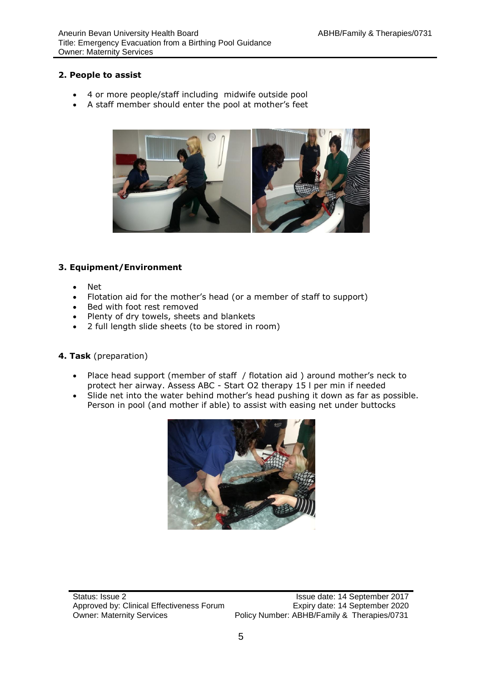#### **2. People to assist**

- 4 or more people/staff including midwife outside pool
- A staff member should enter the pool at mother's feet



#### **3. Equipment/Environment**

- Net
- Flotation aid for the mother's head (or a member of staff to support)
- Bed with foot rest removed
- Plenty of dry towels, sheets and blankets
- 2 full length slide sheets (to be stored in room)

#### **4. Task** (preparation)

- Place head support (member of staff / flotation aid ) around mother's neck to protect her airway. Assess ABC - Start O2 therapy 15 l per min if needed
- Slide net into the water behind mother's head pushing it down as far as possible. Person in pool (and mother if able) to assist with easing net under buttocks

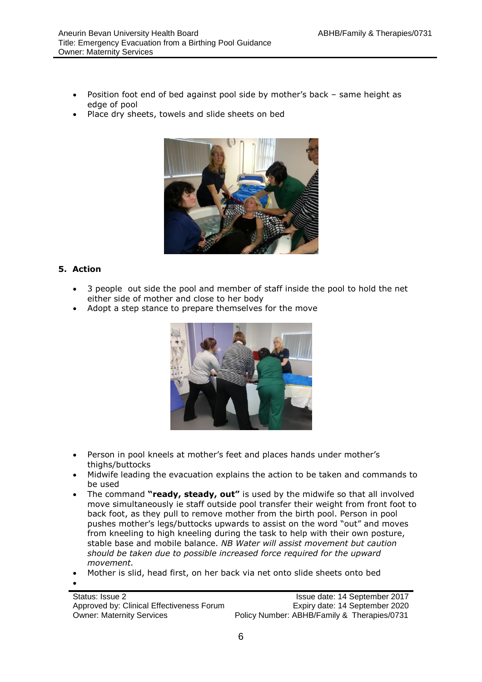- Position foot end of bed against pool side by mother's back same height as edge of pool
- Place dry sheets, towels and slide sheets on bed



#### **5. Action**

 $\bullet$ 

- 3 people out side the pool and member of staff inside the pool to hold the net either side of mother and close to her body
- Adopt a step stance to prepare themselves for the move



- Person in pool kneels at mother's feet and places hands under mother's thighs/buttocks
- Midwife leading the evacuation explains the action to be taken and commands to be used
- The command **"ready, steady, out"** is used by the midwife so that all involved move simultaneously ie staff outside pool transfer their weight from front foot to back foot, as they pull to remove mother from the birth pool. Person in pool pushes mother's legs/buttocks upwards to assist on the word "out" and moves from kneeling to high kneeling during the task to help with their own posture, stable base and mobile balance. *NB Water will assist movement but caution should be taken due to possible increased force required for the upward movement.*
- Mother is slid, head first, on her back via net onto slide sheets onto bed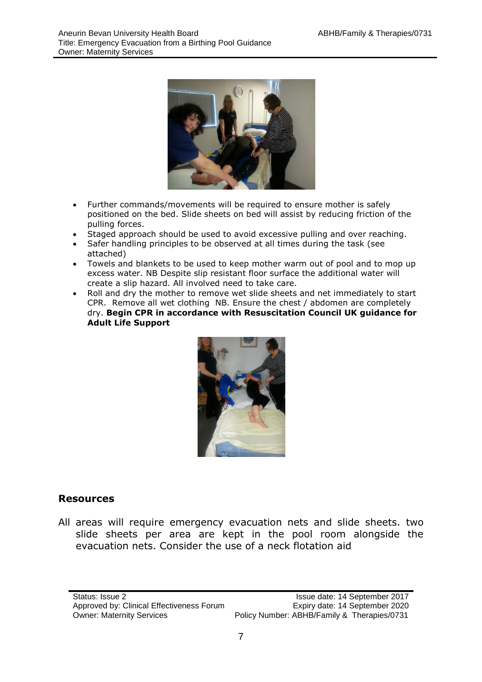

- Further commands/movements will be required to ensure mother is safely positioned on the bed. Slide sheets on bed will assist by reducing friction of the pulling forces.
- Staged approach should be used to avoid excessive pulling and over reaching.
- Safer handling principles to be observed at all times during the task (see attached)
- Towels and blankets to be used to keep mother warm out of pool and to mop up excess water. NB Despite slip resistant floor surface the additional water will create a slip hazard. All involved need to take care.
- Roll and dry the mother to remove wet slide sheets and net immediately to start CPR. Remove all wet clothing NB. Ensure the chest / abdomen are completely dry. **Begin CPR in accordance with Resuscitation Council UK guidance for Adult Life Support**



# **Resources**

All areas will require emergency evacuation nets and slide sheets. two slide sheets per area are kept in the pool room alongside the evacuation nets. Consider the use of a neck flotation aid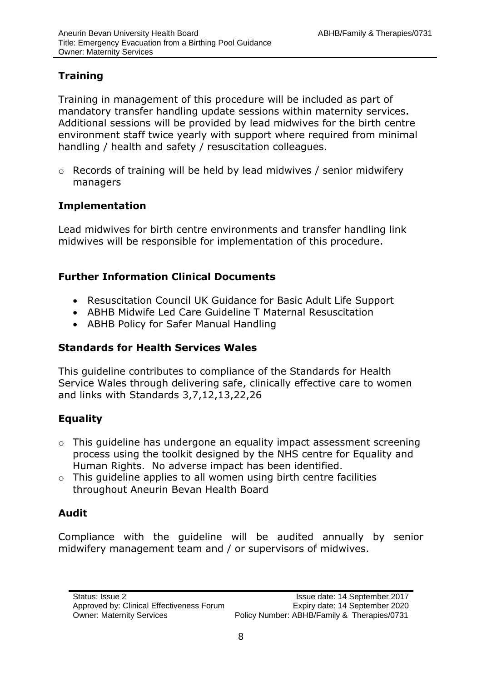# **Training**

Training in management of this procedure will be included as part of mandatory transfer handling update sessions within maternity services. Additional sessions will be provided by lead midwives for the birth centre environment staff twice yearly with support where required from minimal handling / health and safety / resuscitation colleagues.

o Records of training will be held by lead midwives / senior midwifery managers

# **Implementation**

Lead midwives for birth centre environments and transfer handling link midwives will be responsible for implementation of this procedure.

# **Further Information Clinical Documents**

- Resuscitation Council UK Guidance for Basic Adult Life Support
- ABHB Midwife Led Care Guideline T Maternal Resuscitation
- ABHB Policy for Safer Manual Handling

# **Standards for Health Services Wales**

This guideline contributes to compliance of the Standards for Health Service Wales through delivering safe, clinically effective care to women and links with Standards 3,7,12,13,22,26

# <span id="page-7-0"></span>**Equality**

- o This guideline has undergone an equality impact assessment screening process using the toolkit designed by the NHS centre for Equality and Human Rights. No adverse impact has been identified.
- $\circ$  This guideline applies to all women using birth centre facilities throughout Aneurin Bevan Health Board

# <span id="page-7-1"></span>**Audit**

Compliance with the guideline will be audited annually by senior midwifery management team and / or supervisors of midwives.